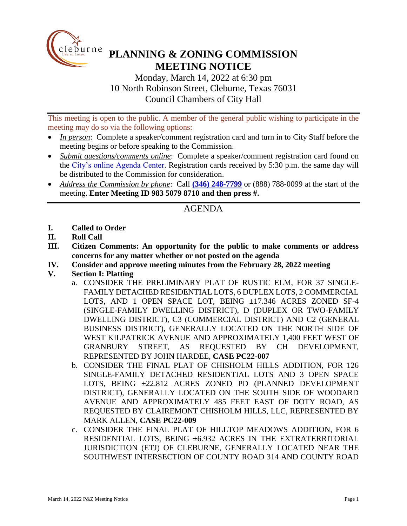

# **PLANNING & ZONING COMMISSION MEETING NOTICE**

Monday, March 14, 2022 at 6:30 pm 10 North Robinson Street, Cleburne, Texas 76031 Council Chambers of City Hall

This meeting is open to the public. A member of the general public wishing to participate in the meeting may do so via the following options:

- *In person*: Complete a speaker/comment registration card and turn in to City Staff before the meeting begins or before speaking to the Commission.
- *Submit questions/comments online*: Complete a speaker/comment registration card found on the [City's online Agenda Center.](https://www.cleburne.net/agendacenter) Registration cards received by 5:30 p.m. the same day will be distributed to the Commission for consideration.
- *Address the Commission by phone*: Call **(346) [248-7799](tel:+13127573117,,477307821)** or (888) 788-0099 at the start of the meeting. **Enter Meeting ID 983 5079 8710 and then press #.**

## AGENDA

- **I. Called to Order**
- **II. Roll Call**
- **III. Citizen Comments: An opportunity for the public to make comments or address concerns for any matter whether or not posted on the agenda**
- **IV. Consider and approve meeting minutes from the February 28, 2022 meeting**
- **V. Section I: Platting**
	- a. CONSIDER THE PRELIMINARY PLAT OF RUSTIC ELM, FOR 37 SINGLE-FAMILY DETACHED RESIDENTIAL LOTS, 6 DUPLEX LOTS, 2 COMMERCIAL LOTS, AND 1 OPEN SPACE LOT, BEING ±17.346 ACRES ZONED SF-4 (SINGLE-FAMILY DWELLING DISTRICT), D (DUPLEX OR TWO-FAMILY DWELLING DISTRICT), C3 (COMMERCIAL DISTRICT) AND C2 (GENERAL BUSINESS DISTRICT), GENERALLY LOCATED ON THE NORTH SIDE OF WEST KILPATRICK AVENUE AND APPROXIMATELY 1,400 FEET WEST OF GRANBURY STREET, AS REQUESTED BY CH DEVELOPMENT, REPRESENTED BY JOHN HARDEE, **CASE PC22-007**
	- b. CONSIDER THE FINAL PLAT OF CHISHOLM HILLS ADDITION, FOR 126 SINGLE-FAMILY DETACHED RESIDENTIAL LOTS AND 3 OPEN SPACE LOTS, BEING ±22.812 ACRES ZONED PD (PLANNED DEVELOPMENT DISTRICT), GENERALLY LOCATED ON THE SOUTH SIDE OF WOODARD AVENUE AND APPROXIMATELY 485 FEET EAST OF DOTY ROAD, AS REQUESTED BY CLAIREMONT CHISHOLM HILLS, LLC, REPRESENTED BY MARK ALLEN, **CASE PC22-009**
	- c. CONSIDER THE FINAL PLAT OF HILLTOP MEADOWS ADDITION, FOR 6 RESIDENTIAL LOTS, BEING ±6.932 ACRES IN THE EXTRATERRITORIAL JURISDICTION (ETJ) OF CLEBURNE, GENERALLY LOCATED NEAR THE SOUTHWEST INTERSECTION OF COUNTY ROAD 314 AND COUNTY ROAD